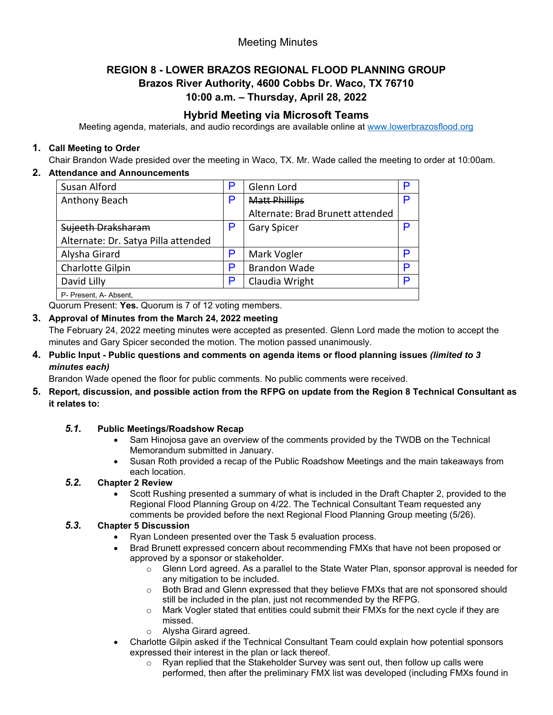# Meeting Minutes

## **REGION 8 - LOWER BRAZOS REGIONAL FLOOD PLANNING GROUP Brazos River Authority, 4600 Cobbs Dr. Waco, TX 76710 10:00 a.m. – Thursday, April 28, 2022**

# **Hybrid Meeting via Microsoft Teams**

Meeting agenda, materials, and audio recordings are available online at [www.lowerbrazosflood.org](http://www.lowerbrazosflood.org/)

## **1. Call Meeting to Order**

Chair Brandon Wade presided over the meeting in Waco, TX. Mr. Wade called the meeting to order at 10:00am.

## **2. Attendance and Announcements**

| Susan Alford                        | P | Glenn Lord                       |   |
|-------------------------------------|---|----------------------------------|---|
| Anthony Beach                       | P | <b>Matt Phillips</b>             | P |
|                                     |   | Alternate: Brad Brunett attended |   |
| Sujeeth Draksharam                  |   | <b>Gary Spicer</b>               |   |
| Alternate: Dr. Satya Pilla attended |   |                                  |   |
| Alysha Girard                       | P | Mark Vogler                      | Þ |
| Charlotte Gilpin                    | P | <b>Brandon Wade</b>              | D |
| David Lilly                         | P | Claudia Wright                   | D |
| P- Present, A- Absent,              |   |                                  |   |

Quorum Present: **Yes.** Quorum is 7 of 12 voting members.

#### **3. Approval of Minutes from the March 24, 2022 meeting**

The February 24, 2022 meeting minutes were accepted as presented. Glenn Lord made the motion to accept the minutes and Gary Spicer seconded the motion. The motion passed unanimously.

#### **4. Public Input - Public questions and comments on agenda items or flood planning issues** *(limited to 3 minutes each)*

Brandon Wade opened the floor for public comments. No public comments were received.

**5. Report, discussion, and possible action from the RFPG on update from the Region 8 Technical Consultant as it relates to:**

## *5.1.* **Public Meetings/Roadshow Recap**

- Sam Hinojosa gave an overview of the comments provided by the TWDB on the Technical Memorandum submitted in January.
- Susan Roth provided a recap of the Public Roadshow Meetings and the main takeaways from each location.

## *5.2.* **Chapter 2 Review**

• Scott Rushing presented a summary of what is included in the Draft Chapter 2, provided to the Regional Flood Planning Group on 4/22. The Technical Consultant Team requested any comments be provided before the next Regional Flood Planning Group meeting (5/26).

#### *5.3.* **Chapter 5 Discussion**

- Ryan Londeen presented over the Task 5 evaluation process.
- Brad Brunett expressed concern about recommending FMXs that have not been proposed or approved by a sponsor or stakeholder.
	- $\circ$  Glenn Lord agreed. As a parallel to the State Water Plan, sponsor approval is needed for any mitigation to be included.
	- o Both Brad and Glenn expressed that they believe FMXs that are not sponsored should still be included in the plan, just not recommended by the RFPG.
	- $\circ$  Mark Vogler stated that entities could submit their FMXs for the next cycle if they are missed.
	- o Alysha Girard agreed.
- Charlotte Gilpin asked if the Technical Consultant Team could explain how potential sponsors expressed their interest in the plan or lack thereof.
	- $\circ$  Ryan replied that the Stakeholder Survey was sent out, then follow up calls were performed, then after the preliminary FMX list was developed (including FMXs found in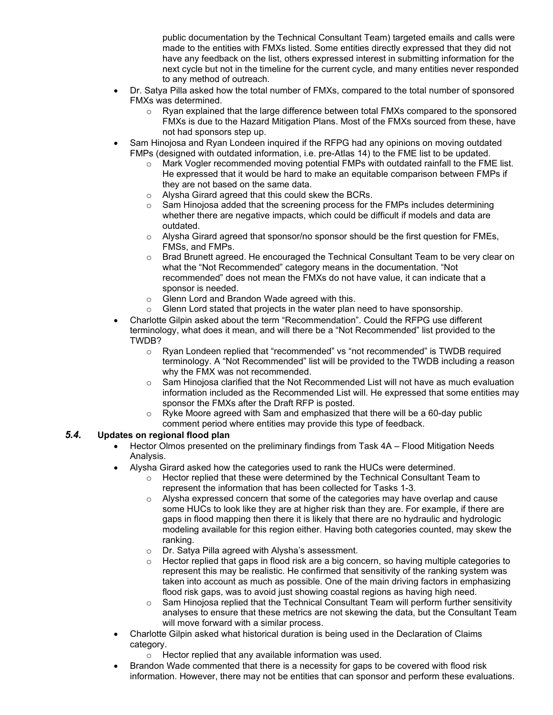public documentation by the Technical Consultant Team) targeted emails and calls were made to the entities with FMXs listed. Some entities directly expressed that they did not have any feedback on the list, others expressed interest in submitting information for the next cycle but not in the timeline for the current cycle, and many entities never responded to any method of outreach.

- Dr. Satya Pilla asked how the total number of FMXs, compared to the total number of sponsored FMXs was determined.
	- $\circ$  Ryan explained that the large difference between total FMXs compared to the sponsored FMXs is due to the Hazard Mitigation Plans. Most of the FMXs sourced from these, have not had sponsors step up.
- Sam Hinojosa and Ryan Londeen inquired if the RFPG had any opinions on moving outdated FMPs (designed with outdated information, i.e. pre-Atlas 14) to the FME list to be updated.
	- o Mark Vogler recommended moving potential FMPs with outdated rainfall to the FME list. He expressed that it would be hard to make an equitable comparison between FMPs if they are not based on the same data.
	- o Alysha Girard agreed that this could skew the BCRs.
	- $\circ$  Sam Hinojosa added that the screening process for the FMPs includes determining whether there are negative impacts, which could be difficult if models and data are outdated.
	- $\circ$  Alysha Girard agreed that sponsor/no sponsor should be the first question for FMEs, FMSs, and FMPs.
	- $\circ$  Brad Brunett agreed. He encouraged the Technical Consultant Team to be very clear on what the "Not Recommended" category means in the documentation. "Not recommended" does not mean the FMXs do not have value, it can indicate that a sponsor is needed.
	- $\circ$  Glenn Lord and Brandon Wade agreed with this.<br>  $\circ$  Glenn Lord stated that projects in the water plan
	- Glenn Lord stated that projects in the water plan need to have sponsorship.
- Charlotte Gilpin asked about the term "Recommendation". Could the RFPG use different terminology, what does it mean, and will there be a "Not Recommended" list provided to the TWDB?
	- o Ryan Londeen replied that "recommended" vs "not recommended" is TWDB required terminology. A "Not Recommended" list will be provided to the TWDB including a reason why the FMX was not recommended.
	- $\circ$  Sam Hinojosa clarified that the Not Recommended List will not have as much evaluation information included as the Recommended List will. He expressed that some entities may sponsor the FMXs after the Draft RFP is posted.
	- $\circ$  Ryke Moore agreed with Sam and emphasized that there will be a 60-day public comment period where entities may provide this type of feedback.

## *5.4.* **Updates on regional flood plan**

- Hector Olmos presented on the preliminary findings from Task 4A Flood Mitigation Needs Analysis.
- Alysha Girard asked how the categories used to rank the HUCs were determined.
	- o Hector replied that these were determined by the Technical Consultant Team to represent the information that has been collected for Tasks 1-3.
	- $\circ$  Alysha expressed concern that some of the categories may have overlap and cause some HUCs to look like they are at higher risk than they are. For example, if there are gaps in flood mapping then there it is likely that there are no hydraulic and hydrologic modeling available for this region either. Having both categories counted, may skew the ranking.
	-
	- o Dr. Satya Pilla agreed with Alysha's assessment.<br>
	o Hector replied that gaps in flood risk are a big cor Hector replied that gaps in flood risk are a big concern, so having multiple categories to represent this may be realistic. He confirmed that sensitivity of the ranking system was taken into account as much as possible. One of the main driving factors in emphasizing flood risk gaps, was to avoid just showing coastal regions as having high need.
	- $\circ$  Sam Hinojosa replied that the Technical Consultant Team will perform further sensitivity analyses to ensure that these metrics are not skewing the data, but the Consultant Team will move forward with a similar process.
- Charlotte Gilpin asked what historical duration is being used in the Declaration of Claims category.
	- o Hector replied that any available information was used.
- Brandon Wade commented that there is a necessity for gaps to be covered with flood risk information. However, there may not be entities that can sponsor and perform these evaluations.